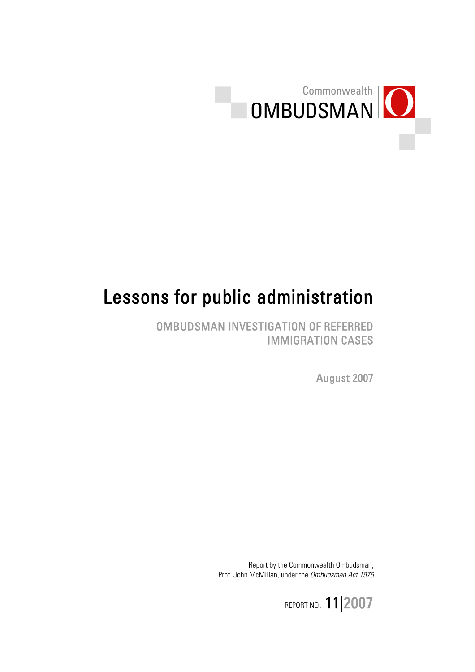

# Lessons for public administration

OMBUDSMAN INVESTIGATION OF REFERRED IMMIGRATION CASES

August 2007

Report by the Commonwealth Ombudsman, Prof. John McMillan, under the Ombudsman Act 1976

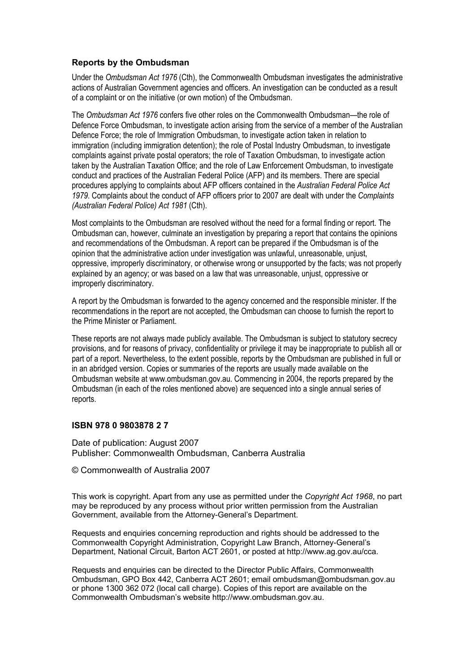#### **Reports by the Ombudsman**

Under the *Ombudsman Act 1976* (Cth), the Commonwealth Ombudsman investigates the administrative actions of Australian Government agencies and officers. An investigation can be conducted as a result of a complaint or on the initiative (or own motion) of the Ombudsman.

The *Ombudsman Act 1976* confers five other roles on the Commonwealth Ombudsman—the role of Defence Force Ombudsman, to investigate action arising from the service of a member of the Australian Defence Force; the role of Immigration Ombudsman, to investigate action taken in relation to immigration (including immigration detention); the role of Postal Industry Ombudsman, to investigate complaints against private postal operators; the role of Taxation Ombudsman, to investigate action taken by the Australian Taxation Office; and the role of Law Enforcement Ombudsman, to investigate conduct and practices of the Australian Federal Police (AFP) and its members. There are special procedures applying to complaints about AFP officers contained in the *Australian Federal Police Act 1979*. Complaints about the conduct of AFP officers prior to 2007 are dealt with under the *Complaints (Australian Federal Police) Act 1981* (Cth).

Most complaints to the Ombudsman are resolved without the need for a formal finding or report. The Ombudsman can, however, culminate an investigation by preparing a report that contains the opinions and recommendations of the Ombudsman. A report can be prepared if the Ombudsman is of the opinion that the administrative action under investigation was unlawful, unreasonable, unjust, oppressive, improperly discriminatory, or otherwise wrong or unsupported by the facts; was not properly explained by an agency; or was based on a law that was unreasonable, unjust, oppressive or improperly discriminatory.

A report by the Ombudsman is forwarded to the agency concerned and the responsible minister. If the recommendations in the report are not accepted, the Ombudsman can choose to furnish the report to the Prime Minister or Parliament.

These reports are not always made publicly available. The Ombudsman is subject to statutory secrecy provisions, and for reasons of privacy, confidentiality or privilege it may be inappropriate to publish all or part of a report. Nevertheless, to the extent possible, reports by the Ombudsman are published in full or in an abridged version. Copies or summaries of the reports are usually made available on the Ombudsman website at www.ombudsman.gov.au. Commencing in 2004, the reports prepared by the Ombudsman (in each of the roles mentioned above) are sequenced into a single annual series of reports.

#### **ISBN 978 0 9803878 2 7**

Date of publication: August 2007 Publisher: Commonwealth Ombudsman, Canberra Australia

© Commonwealth of Australia 2007

This work is copyright. Apart from any use as permitted under the *Copyright Act 1968*, no part may be reproduced by any process without prior written permission from the Australian Government, available from the Attorney-General's Department.

Requests and enquiries concerning reproduction and rights should be addressed to the Commonwealth Copyright Administration, Copyright Law Branch, Attorney-General's Department, National Circuit, Barton ACT 2601, or posted at http://www.ag.gov.au/cca.

Requests and enquiries can be directed to the Director Public Affairs, Commonwealth Ombudsman, GPO Box 442, Canberra ACT 2601; email ombudsman@ombudsman.gov.au or phone 1300 362 072 (local call charge). Copies of this report are available on the Commonwealth Ombudsman's website http://www.ombudsman.gov.au.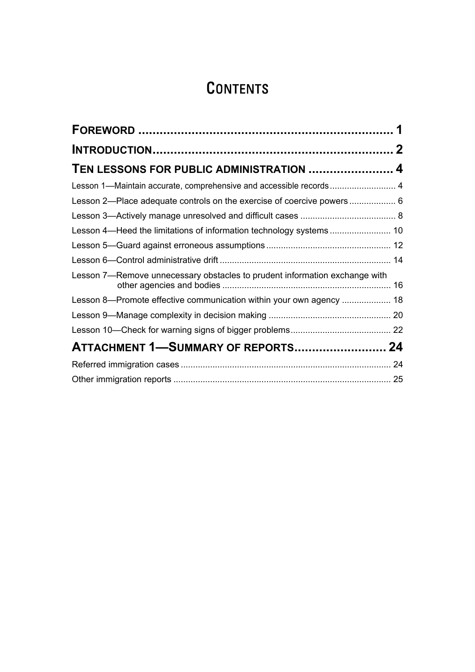## **CONTENTS**

| TEN LESSONS FOR PUBLIC ADMINISTRATION  4                                   |  |
|----------------------------------------------------------------------------|--|
| Lesson 1-Maintain accurate, comprehensive and accessible records 4         |  |
| Lesson 2-Place adequate controls on the exercise of coercive powers 6      |  |
|                                                                            |  |
|                                                                            |  |
|                                                                            |  |
|                                                                            |  |
| Lesson 7-Remove unnecessary obstacles to prudent information exchange with |  |
| Lesson 8-Promote effective communication within your own agency  18        |  |
|                                                                            |  |
|                                                                            |  |
| ATTACHMENT 1-SUMMARY OF REPORTS 24                                         |  |
|                                                                            |  |
|                                                                            |  |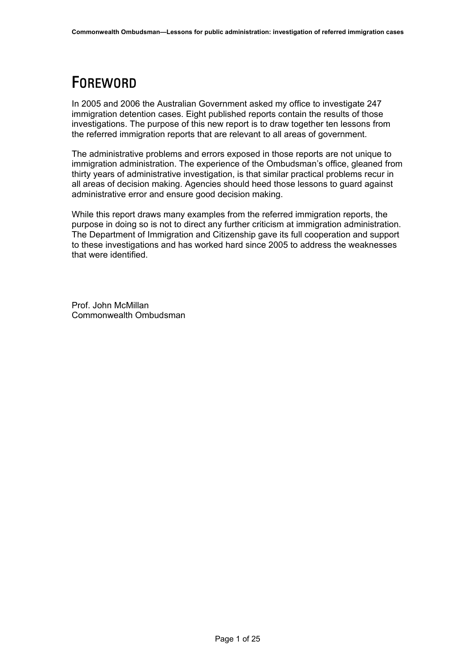## <span id="page-3-0"></span>FOREWORD

In 2005 and 2006 the Australian Government asked my office to investigate 247 immigration detention cases. Eight published reports contain the results of those investigations. The purpose of this new report is to draw together ten lessons from the referred immigration reports that are relevant to all areas of government.

The administrative problems and errors exposed in those reports are not unique to immigration administration. The experience of the Ombudsman's office, gleaned from thirty years of administrative investigation, is that similar practical problems recur in all areas of decision making. Agencies should heed those lessons to guard against administrative error and ensure good decision making.

While this report draws many examples from the referred immigration reports, the purpose in doing so is not to direct any further criticism at immigration administration. The Department of Immigration and Citizenship gave its full cooperation and support to these investigations and has worked hard since 2005 to address the weaknesses that were identified.

Prof. John McMillan Commonwealth Ombudsman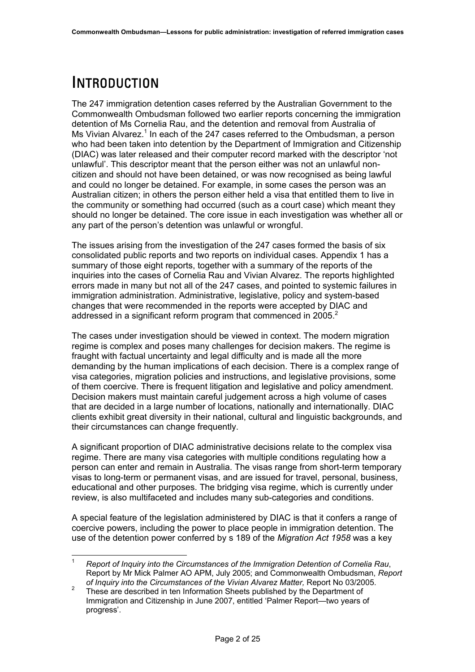## <span id="page-4-0"></span>INTRODUCTION

The 247 immigration detention cases referred by the Australian Government to the Commonwealth Ombudsman followed two earlier reports concerning the immigration detention of Ms Cornelia Rau, and the detention and removal from Australia of Ms Vivian Alvarez.<sup>[1](#page-4-1)</sup> In each of the 247 cases referred to the Ombudsman, a person who had been taken into detention by the Department of Immigration and Citizenship (DIAC) was later released and their computer record marked with the descriptor 'not unlawful'. This descriptor meant that the person either was not an unlawful noncitizen and should not have been detained, or was now recognised as being lawful and could no longer be detained. For example, in some cases the person was an Australian citizen; in others the person either held a visa that entitled them to live in the community or something had occurred (such as a court case) which meant they should no longer be detained. The core issue in each investigation was whether all or any part of the person's detention was unlawful or wrongful.

The issues arising from the investigation of the 247 cases formed the basis of six consolidated public reports and two reports on individual cases. Appendix 1 has a summary of those eight reports, together with a summary of the reports of the inquiries into the cases of Cornelia Rau and Vivian Alvarez. The reports highlighted errors made in many but not all of the 247 cases, and pointed to systemic failures in immigration administration. Administrative, legislative, policy and system-based changes that were recommended in the reports were accepted by DIAC and addressed in a significant reform program that commenced in [2](#page-4-2)005.<sup>2</sup>

The cases under investigation should be viewed in context. The modern migration regime is complex and poses many challenges for decision makers. The regime is fraught with factual uncertainty and legal difficulty and is made all the more demanding by the human implications of each decision. There is a complex range of visa categories, migration policies and instructions, and legislative provisions, some of them coercive. There is frequent litigation and legislative and policy amendment. Decision makers must maintain careful judgement across a high volume of cases that are decided in a large number of locations, nationally and internationally. DIAC clients exhibit great diversity in their national, cultural and linguistic backgrounds, and their circumstances can change frequently.

A significant proportion of DIAC administrative decisions relate to the complex visa regime. There are many visa categories with multiple conditions regulating how a person can enter and remain in Australia. The visas range from short-term temporary visas to long-term or permanent visas, and are issued for travel, personal, business, educational and other purposes. The bridging visa regime, which is currently under review, is also multifaceted and includes many sub-categories and conditions.

A special feature of the legislation administered by DIAC is that it confers a range of coercive powers, including the power to place people in immigration detention. The use of the detention power conferred by s 189 of the *Migration Act 1958* was a key

<span id="page-4-1"></span> <sup>1</sup> *Report of Inquiry into the Circumstances of the Immigration Detention of Cornelia Rau*, Report by Mr Mick Palmer AO APM, July 2005; and Commonwealth Ombudsman, *Report of Inquiry into the Circumstances of the Vivian Alvarez Matter, Report No 03/2005.*<br><sup>2</sup> Those are described in top Information Shoots published by the Department of

<span id="page-4-2"></span>These are described in ten Information Sheets published by the Department of Immigration and Citizenship in June 2007, entitled 'Palmer Report—two years of progress'.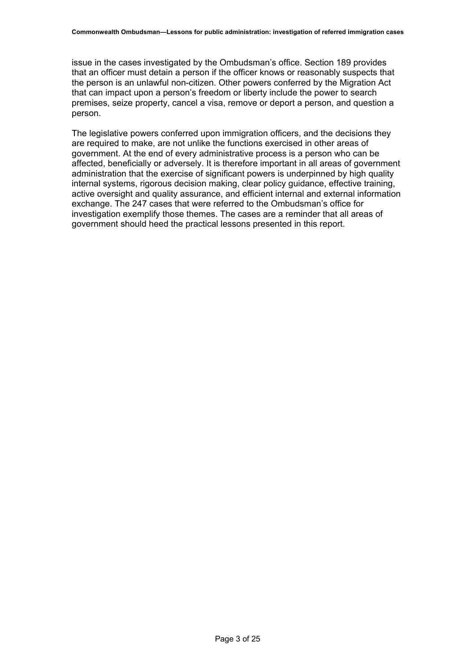issue in the cases investigated by the Ombudsman's office. Section 189 provides that an officer must detain a person if the officer knows or reasonably suspects that the person is an unlawful non-citizen. Other powers conferred by the Migration Act that can impact upon a person's freedom or liberty include the power to search premises, seize property, cancel a visa, remove or deport a person, and question a person.

The legislative powers conferred upon immigration officers, and the decisions they are required to make, are not unlike the functions exercised in other areas of government. At the end of every administrative process is a person who can be affected, beneficially or adversely. It is therefore important in all areas of government administration that the exercise of significant powers is underpinned by high quality internal systems, rigorous decision making, clear policy guidance, effective training, active oversight and quality assurance, and efficient internal and external information exchange. The 247 cases that were referred to the Ombudsman's office for investigation exemplify those themes. The cases are a reminder that all areas of government should heed the practical lessons presented in this report.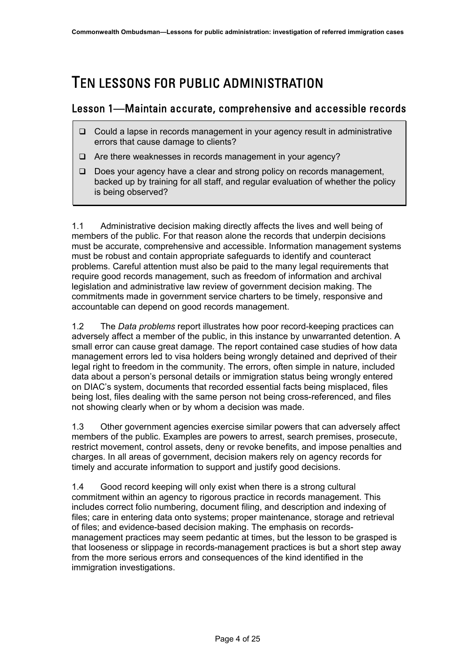### <span id="page-6-0"></span>TEN LESSONS FOR PUBLIC ADMINISTRATION

#### Lesson 1—Maintain accurate, comprehensive and accessible records

- $\Box$  Could a lapse in records management in your agency result in administrative errors that cause damage to clients?
- $\Box$  Are there weaknesses in records management in your agency?
- Does your agency have a clear and strong policy on records management, backed up by training for all staff, and regular evaluation of whether the policy is being observed?

1.1 Administrative decision making directly affects the lives and well being of members of the public. For that reason alone the records that underpin decisions must be accurate, comprehensive and accessible. Information management systems must be robust and contain appropriate safeguards to identify and counteract problems. Careful attention must also be paid to the many legal requirements that require good records management, such as freedom of information and archival legislation and administrative law review of government decision making. The commitments made in government service charters to be timely, responsive and accountable can depend on good records management.

1.2 The *Data problems* report illustrates how poor record-keeping practices can adversely affect a member of the public, in this instance by unwarranted detention. A small error can cause great damage. The report contained case studies of how data management errors led to visa holders being wrongly detained and deprived of their legal right to freedom in the community. The errors, often simple in nature, included data about a person's personal details or immigration status being wrongly entered on DIAC's system, documents that recorded essential facts being misplaced, files being lost, files dealing with the same person not being cross-referenced, and files not showing clearly when or by whom a decision was made.

1.3 Other government agencies exercise similar powers that can adversely affect members of the public. Examples are powers to arrest, search premises, prosecute, restrict movement, control assets, deny or revoke benefits, and impose penalties and charges. In all areas of government, decision makers rely on agency records for timely and accurate information to support and justify good decisions.

1.4 Good record keeping will only exist when there is a strong cultural commitment within an agency to rigorous practice in records management. This includes correct folio numbering, document filing, and description and indexing of files; care in entering data onto systems; proper maintenance, storage and retrieval of files; and evidence-based decision making. The emphasis on recordsmanagement practices may seem pedantic at times, but the lesson to be grasped is that looseness or slippage in records-management practices is but a short step away from the more serious errors and consequences of the kind identified in the immigration investigations.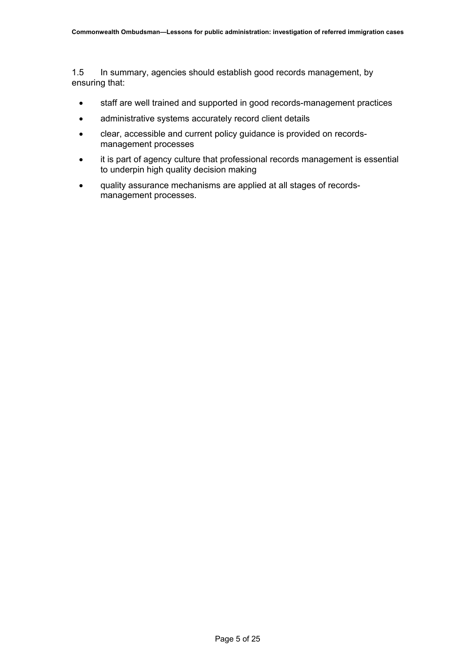1.5 In summary, agencies should establish good records management, by ensuring that:

- staff are well trained and supported in good records-management practices
- administrative systems accurately record client details
- clear, accessible and current policy guidance is provided on recordsmanagement processes
- it is part of agency culture that professional records management is essential to underpin high quality decision making
- quality assurance mechanisms are applied at all stages of recordsmanagement processes.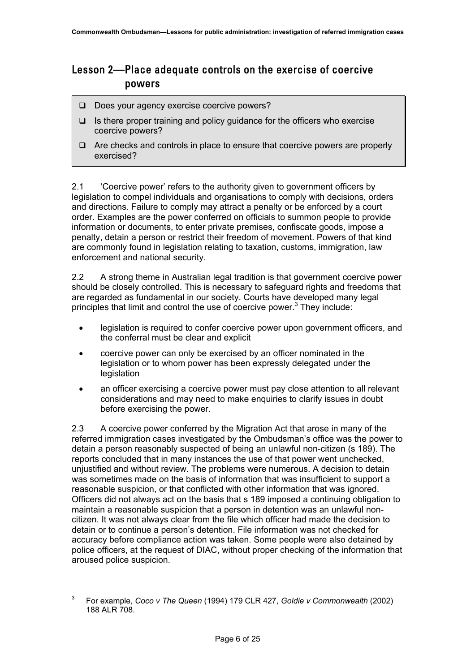### <span id="page-8-0"></span>Lesson 2—Place adequate controls on the exercise of coercive powers

- Does your agency exercise coercive powers?
- $\Box$  Is there proper training and policy quidance for the officers who exercise coercive powers?
- $\Box$  Are checks and controls in place to ensure that coercive powers are properly exercised?

2.1 'Coercive power' refers to the authority given to government officers by legislation to compel individuals and organisations to comply with decisions, orders and directions. Failure to comply may attract a penalty or be enforced by a court order. Examples are the power conferred on officials to summon people to provide information or documents, to enter private premises, confiscate goods, impose a penalty, detain a person or restrict their freedom of movement. Powers of that kind are commonly found in legislation relating to taxation, customs, immigration, law enforcement and national security.

2.2 A strong theme in Australian legal tradition is that government coercive power should be closely controlled. This is necessary to safeguard rights and freedoms that are regarded as fundamental in our society. Courts have developed many legal principlesthat limit and control the use of coercive power.<sup>3</sup> They include:

- legislation is required to confer coercive power upon government officers, and the conferral must be clear and explicit
- coercive power can only be exercised by an officer nominated in the legislation or to whom power has been expressly delegated under the legislation
- an officer exercising a coercive power must pay close attention to all relevant considerations and may need to make enquiries to clarify issues in doubt before exercising the power.

2.3 A coercive power conferred by the Migration Act that arose in many of the referred immigration cases investigated by the Ombudsman's office was the power to detain a person reasonably suspected of being an unlawful non-citizen (s 189). The reports concluded that in many instances the use of that power went unchecked, unjustified and without review. The problems were numerous. A decision to detain was sometimes made on the basis of information that was insufficient to support a reasonable suspicion, or that conflicted with other information that was ignored. Officers did not always act on the basis that s 189 imposed a continuing obligation to maintain a reasonable suspicion that a person in detention was an unlawful noncitizen. It was not always clear from the file which officer had made the decision to detain or to continue a person's detention. File information was not checked for accuracy before compliance action was taken. Some people were also detained by police officers, at the request of DIAC, without proper checking of the information that aroused police suspicion.

<span id="page-8-1"></span> <sup>3</sup> For example, *Coco v The Queen* (1994) 179 CLR 427, *Goldie v Commonwealth* (2002) 188 ALR 708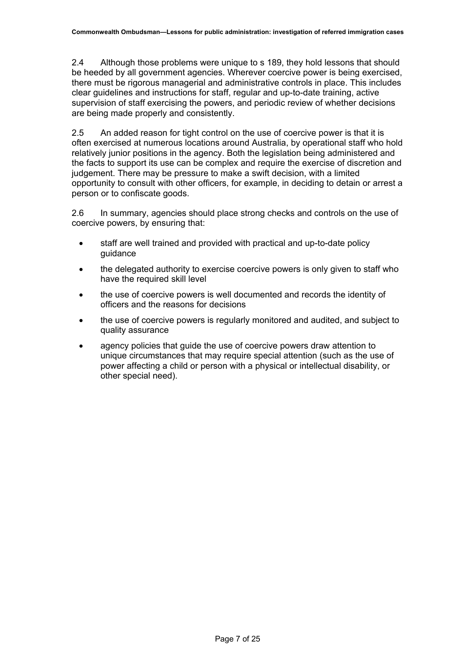2.4 Although those problems were unique to s 189, they hold lessons that should be heeded by all government agencies. Wherever coercive power is being exercised, there must be rigorous managerial and administrative controls in place. This includes clear guidelines and instructions for staff, regular and up-to-date training, active supervision of staff exercising the powers, and periodic review of whether decisions are being made properly and consistently.

2.5 An added reason for tight control on the use of coercive power is that it is often exercised at numerous locations around Australia, by operational staff who hold relatively junior positions in the agency. Both the legislation being administered and the facts to support its use can be complex and require the exercise of discretion and judgement. There may be pressure to make a swift decision, with a limited opportunity to consult with other officers, for example, in deciding to detain or arrest a person or to confiscate goods.

2.6 In summary, agencies should place strong checks and controls on the use of coercive powers, by ensuring that:

- staff are well trained and provided with practical and up-to-date policy guidance
- the delegated authority to exercise coercive powers is only given to staff who have the required skill level
- the use of coercive powers is well documented and records the identity of officers and the reasons for decisions
- the use of coercive powers is regularly monitored and audited, and subject to quality assurance
- agency policies that guide the use of coercive powers draw attention to unique circumstances that may require special attention (such as the use of power affecting a child or person with a physical or intellectual disability, or other special need).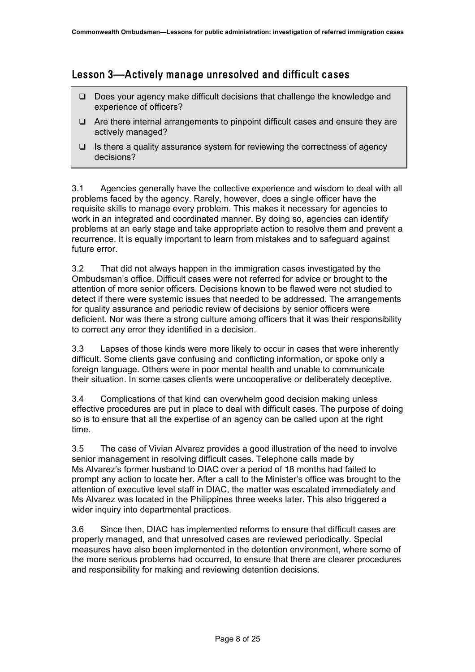#### <span id="page-10-0"></span>Lesson 3—Actively manage unresolved and difficult cases

- □ Does your agency make difficult decisions that challenge the knowledge and experience of officers?
- $\Box$  Are there internal arrangements to pinpoint difficult cases and ensure they are actively managed?
- $\Box$  Is there a quality assurance system for reviewing the correctness of agency decisions?

3.1 Agencies generally have the collective experience and wisdom to deal with all problems faced by the agency. Rarely, however, does a single officer have the requisite skills to manage every problem. This makes it necessary for agencies to work in an integrated and coordinated manner. By doing so, agencies can identify problems at an early stage and take appropriate action to resolve them and prevent a recurrence. It is equally important to learn from mistakes and to safeguard against future error.

3.2 That did not always happen in the immigration cases investigated by the Ombudsman's office. Difficult cases were not referred for advice or brought to the attention of more senior officers. Decisions known to be flawed were not studied to detect if there were systemic issues that needed to be addressed. The arrangements for quality assurance and periodic review of decisions by senior officers were deficient. Nor was there a strong culture among officers that it was their responsibility to correct any error they identified in a decision.

3.3 Lapses of those kinds were more likely to occur in cases that were inherently difficult. Some clients gave confusing and conflicting information, or spoke only a foreign language. Others were in poor mental health and unable to communicate their situation. In some cases clients were uncooperative or deliberately deceptive.

3.4 Complications of that kind can overwhelm good decision making unless effective procedures are put in place to deal with difficult cases. The purpose of doing so is to ensure that all the expertise of an agency can be called upon at the right time.

3.5 The case of Vivian Alvarez provides a good illustration of the need to involve senior management in resolving difficult cases. Telephone calls made by Ms Alvarez's former husband to DIAC over a period of 18 months had failed to prompt any action to locate her. After a call to the Minister's office was brought to the attention of executive level staff in DIAC, the matter was escalated immediately and Ms Alvarez was located in the Philippines three weeks later. This also triggered a wider inquiry into departmental practices.

3.6 Since then, DIAC has implemented reforms to ensure that difficult cases are properly managed, and that unresolved cases are reviewed periodically. Special measures have also been implemented in the detention environment, where some of the more serious problems had occurred, to ensure that there are clearer procedures and responsibility for making and reviewing detention decisions.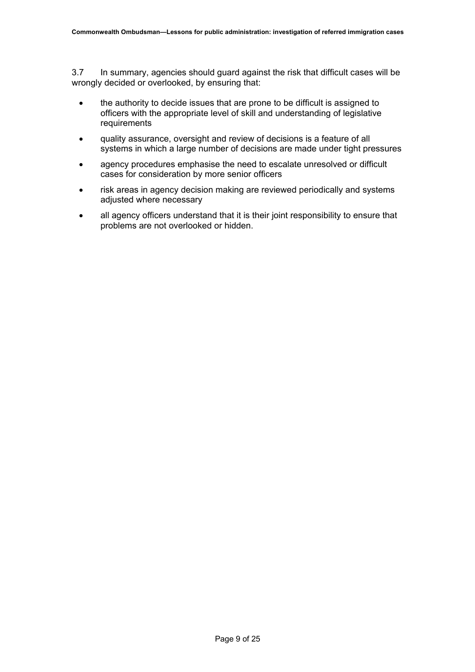3.7 In summary, agencies should guard against the risk that difficult cases will be wrongly decided or overlooked, by ensuring that:

- the authority to decide issues that are prone to be difficult is assigned to officers with the appropriate level of skill and understanding of legislative requirements
- quality assurance, oversight and review of decisions is a feature of all systems in which a large number of decisions are made under tight pressures
- agency procedures emphasise the need to escalate unresolved or difficult cases for consideration by more senior officers
- risk areas in agency decision making are reviewed periodically and systems adjusted where necessary
- all agency officers understand that it is their joint responsibility to ensure that problems are not overlooked or hidden.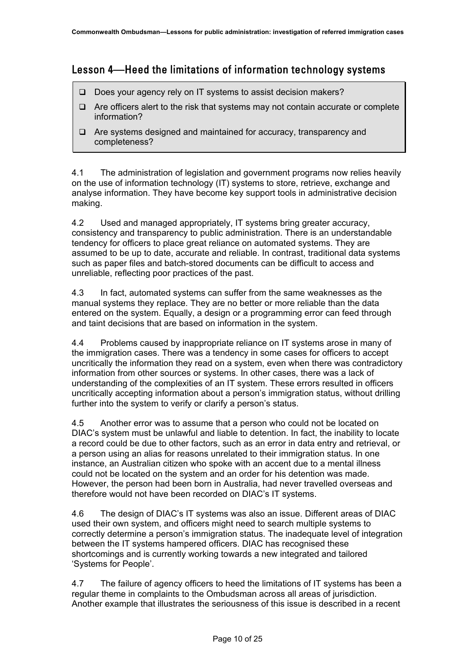### <span id="page-12-0"></span>Lesson 4—Heed the limitations of information technology systems

- $\Box$  Does your agency rely on IT systems to assist decision makers?
- $\Box$  Are officers alert to the risk that systems may not contain accurate or complete information?
- $\Box$  Are systems designed and maintained for accuracy, transparency and completeness?

4.1 The administration of legislation and government programs now relies heavily on the use of information technology (IT) systems to store, retrieve, exchange and analyse information. They have become key support tools in administrative decision making.

4.2 Used and managed appropriately, IT systems bring greater accuracy, consistency and transparency to public administration. There is an understandable tendency for officers to place great reliance on automated systems. They are assumed to be up to date, accurate and reliable. In contrast, traditional data systems such as paper files and batch-stored documents can be difficult to access and unreliable, reflecting poor practices of the past.

4.3 In fact, automated systems can suffer from the same weaknesses as the manual systems they replace. They are no better or more reliable than the data entered on the system. Equally, a design or a programming error can feed through and taint decisions that are based on information in the system.

4.4 Problems caused by inappropriate reliance on IT systems arose in many of the immigration cases. There was a tendency in some cases for officers to accept uncritically the information they read on a system, even when there was contradictory information from other sources or systems. In other cases, there was a lack of understanding of the complexities of an IT system. These errors resulted in officers uncritically accepting information about a person's immigration status, without drilling further into the system to verify or clarify a person's status.

4.5 Another error was to assume that a person who could not be located on DIAC's system must be unlawful and liable to detention. In fact, the inability to locate a record could be due to other factors, such as an error in data entry and retrieval, or a person using an alias for reasons unrelated to their immigration status. In one instance, an Australian citizen who spoke with an accent due to a mental illness could not be located on the system and an order for his detention was made. However, the person had been born in Australia, had never travelled overseas and therefore would not have been recorded on DIAC's IT systems.

4.6 The design of DIAC's IT systems was also an issue. Different areas of DIAC used their own system, and officers might need to search multiple systems to correctly determine a person's immigration status. The inadequate level of integration between the IT systems hampered officers. DIAC has recognised these shortcomings and is currently working towards a new integrated and tailored 'Systems for People'.

4.7 The failure of agency officers to heed the limitations of IT systems has been a regular theme in complaints to the Ombudsman across all areas of jurisdiction. Another example that illustrates the seriousness of this issue is described in a recent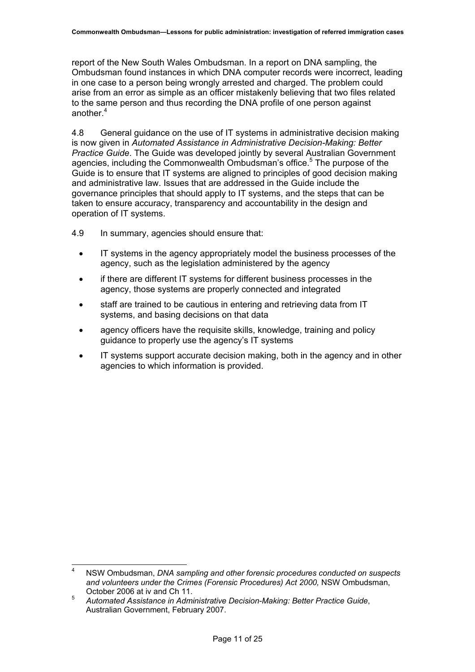report of the New South Wales Ombudsman. In a report on DNA sampling, the Ombudsman found instances in which DNA computer records were incorrect, leading in one case to a person being wrongly arrested and charged. The problem could arise from an error as simple as an officer mistakenly believing that two files related to the same person and thus recording the DNA profile of one person against another.<sup>[4](#page-13-0)</sup>

4.8 General guidance on the use of IT systems in administrative decision making is now given in *Automated Assistance in Administrative Decision-Making: Better Practice Guide*. The Guide was developed jointly by several Australian Government agencies, including the Commonwealth Ombudsman's office.<sup>[5](#page-13-1)</sup> The purpose of the Guide is to ensure that IT systems are aligned to principles of good decision making and administrative law. Issues that are addressed in the Guide include the governance principles that should apply to IT systems, and the steps that can be taken to ensure accuracy, transparency and accountability in the design and operation of IT systems.

- 4.9 In summary, agencies should ensure that:
	- IT systems in the agency appropriately model the business processes of the agency, such as the legislation administered by the agency
	- if there are different IT systems for different business processes in the agency, those systems are properly connected and integrated
	- staff are trained to be cautious in entering and retrieving data from IT systems, and basing decisions on that data
	- agency officers have the requisite skills, knowledge, training and policy guidance to properly use the agency's IT systems
	- IT systems support accurate decision making, both in the agency and in other agencies to which information is provided.

<span id="page-13-0"></span> <sup>4</sup> NSW Ombudsman, *DNA sampling and other forensic procedures conducted on suspects and volunteers under the Crimes (Forensic Procedures) Act 2000,* NSW Ombudsman, October 2006 at iv and Ch 11.<sup>5</sup>

<span id="page-13-1"></span>*Automated Assistance in Administrative Decision-Making: Better Practice Guide*, Australian Government, February 2007.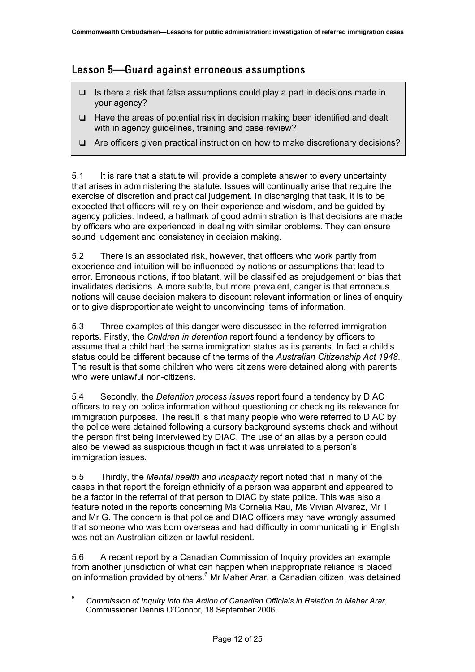### <span id="page-14-0"></span>Lesson 5—Guard against erroneous assumptions

- $\Box$  Is there a risk that false assumptions could play a part in decisions made in your agency?
- Have the areas of potential risk in decision making been identified and dealt with in agency guidelines, training and case review?
- Are officers given practical instruction on how to make discretionary decisions?

5.1 It is rare that a statute will provide a complete answer to every uncertainty that arises in administering the statute. Issues will continually arise that require the exercise of discretion and practical judgement. In discharging that task, it is to be expected that officers will rely on their experience and wisdom, and be guided by agency policies. Indeed, a hallmark of good administration is that decisions are made by officers who are experienced in dealing with similar problems. They can ensure sound judgement and consistency in decision making.

5.2 There is an associated risk, however, that officers who work partly from experience and intuition will be influenced by notions or assumptions that lead to error. Erroneous notions, if too blatant, will be classified as prejudgement or bias that invalidates decisions. A more subtle, but more prevalent, danger is that erroneous notions will cause decision makers to discount relevant information or lines of enquiry or to give disproportionate weight to unconvincing items of information.

5.3 Three examples of this danger were discussed in the referred immigration reports. Firstly, the *Children in detention* report found a tendency by officers to assume that a child had the same immigration status as its parents. In fact a child's status could be different because of the terms of the *Australian Citizenship Act 1948*. The result is that some children who were citizens were detained along with parents who were unlawful non-citizens.

5.4 Secondly, the *Detention process issues* report found a tendency by DIAC officers to rely on police information without questioning or checking its relevance for immigration purposes. The result is that many people who were referred to DIAC by the police were detained following a cursory background systems check and without the person first being interviewed by DIAC. The use of an alias by a person could also be viewed as suspicious though in fact it was unrelated to a person's immigration issues.

5.5 Thirdly, the *Mental health and incapacity* report noted that in many of the cases in that report the foreign ethnicity of a person was apparent and appeared to be a factor in the referral of that person to DIAC by state police. This was also a feature noted in the reports concerning Ms Cornelia Rau, Ms Vivian Alvarez, Mr T and Mr G. The concern is that police and DIAC officers may have wrongly assumed that someone who was born overseas and had difficulty in communicating in English was not an Australian citizen or lawful resident.

5.6 A recent report by a Canadian Commission of Inquiry provides an example from another jurisdiction of what can happen when inappropriate reliance is placed on information provided by others.<sup>[6](#page-14-1)</sup> Mr Maher Arar, a Canadian citizen, was detained

<span id="page-14-1"></span> <sup>6</sup> *Commission of Inquiry into the Action of Canadian Officials in Relation to Maher Arar*, Commissioner Dennis O'Connor, 18 September 2006.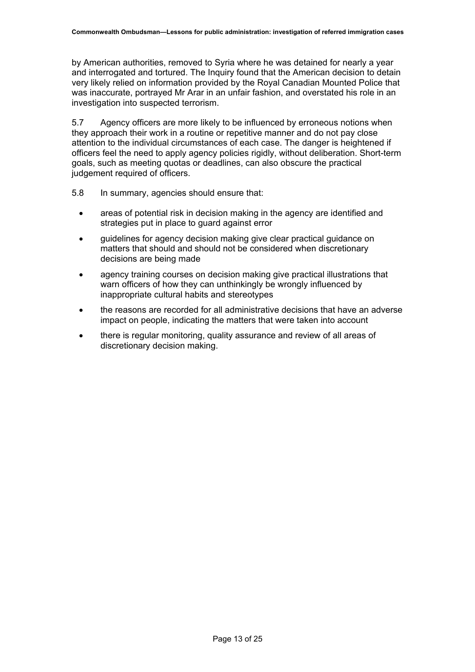by American authorities, removed to Syria where he was detained for nearly a year and interrogated and tortured. The Inquiry found that the American decision to detain very likely relied on information provided by the Royal Canadian Mounted Police that was inaccurate, portrayed Mr Arar in an unfair fashion, and overstated his role in an investigation into suspected terrorism.

5.7 Agency officers are more likely to be influenced by erroneous notions when they approach their work in a routine or repetitive manner and do not pay close attention to the individual circumstances of each case. The danger is heightened if officers feel the need to apply agency policies rigidly, without deliberation. Short-term goals, such as meeting quotas or deadlines, can also obscure the practical judgement required of officers.

- 5.8 In summary, agencies should ensure that:
	- areas of potential risk in decision making in the agency are identified and strategies put in place to guard against error
	- guidelines for agency decision making give clear practical guidance on matters that should and should not be considered when discretionary decisions are being made
	- agency training courses on decision making give practical illustrations that warn officers of how they can unthinkingly be wrongly influenced by inappropriate cultural habits and stereotypes
	- the reasons are recorded for all administrative decisions that have an adverse impact on people, indicating the matters that were taken into account
	- there is regular monitoring, quality assurance and review of all areas of discretionary decision making.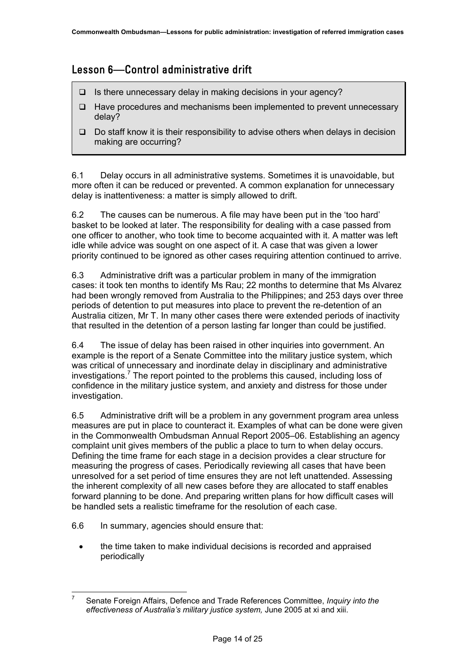### <span id="page-16-0"></span>Lesson 6—Control administrative drift

- $\Box$  Is there unnecessary delay in making decisions in your agency?
- $\Box$  Have procedures and mechanisms been implemented to prevent unnecessary delay?
- $\Box$  Do staff know it is their responsibility to advise others when delays in decision making are occurring?

6.1 Delay occurs in all administrative systems. Sometimes it is unavoidable, but more often it can be reduced or prevented. A common explanation for unnecessary delay is inattentiveness: a matter is simply allowed to drift.

6.2 The causes can be numerous. A file may have been put in the 'too hard' basket to be looked at later. The responsibility for dealing with a case passed from one officer to another, who took time to become acquainted with it. A matter was left idle while advice was sought on one aspect of it. A case that was given a lower priority continued to be ignored as other cases requiring attention continued to arrive.

6.3 Administrative drift was a particular problem in many of the immigration cases: it took ten months to identify Ms Rau; 22 months to determine that Ms Alvarez had been wrongly removed from Australia to the Philippines; and 253 days over three periods of detention to put measures into place to prevent the re-detention of an Australia citizen, Mr T. In many other cases there were extended periods of inactivity that resulted in the detention of a person lasting far longer than could be justified.

6.4 The issue of delay has been raised in other inquiries into government. An example is the report of a Senate Committee into the military justice system, which was critical of unnecessary and inordinate delay in disciplinary and administrative investigations. [7](#page-16-1) The report pointed to the problems this caused, including loss of confidence in the military justice system, and anxiety and distress for those under investigation.

6.5 Administrative drift will be a problem in any government program area unless measures are put in place to counteract it. Examples of what can be done were given in the Commonwealth Ombudsman Annual Report 2005–06. Establishing an agency complaint unit gives members of the public a place to turn to when delay occurs. Defining the time frame for each stage in a decision provides a clear structure for measuring the progress of cases. Periodically reviewing all cases that have been unresolved for a set period of time ensures they are not left unattended. Assessing the inherent complexity of all new cases before they are allocated to staff enables forward planning to be done. And preparing written plans for how difficult cases will be handled sets a realistic timeframe for the resolution of each case.

- 6.6 In summary, agencies should ensure that:
	- the time taken to make individual decisions is recorded and appraised periodically

<span id="page-16-1"></span> <sup>7</sup> Senate Foreign Affairs, Defence and Trade References Committee, *Inquiry into the effectiveness of Australia's military justice system,* June 2005 at xi and xiii.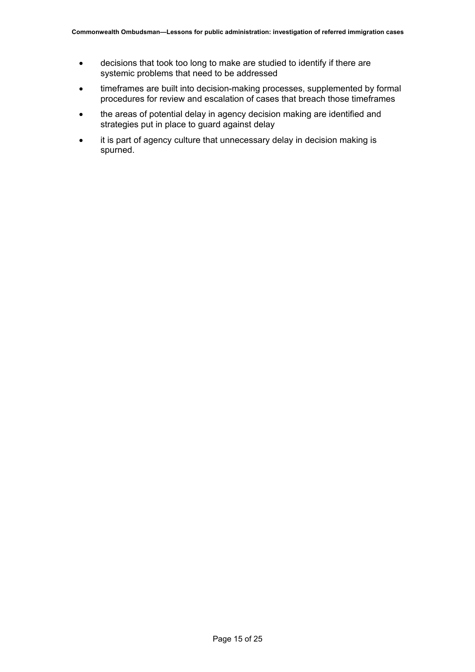- decisions that took too long to make are studied to identify if there are systemic problems that need to be addressed
- timeframes are built into decision-making processes, supplemented by formal procedures for review and escalation of cases that breach those timeframes
- the areas of potential delay in agency decision making are identified and strategies put in place to guard against delay
- it is part of agency culture that unnecessary delay in decision making is spurned.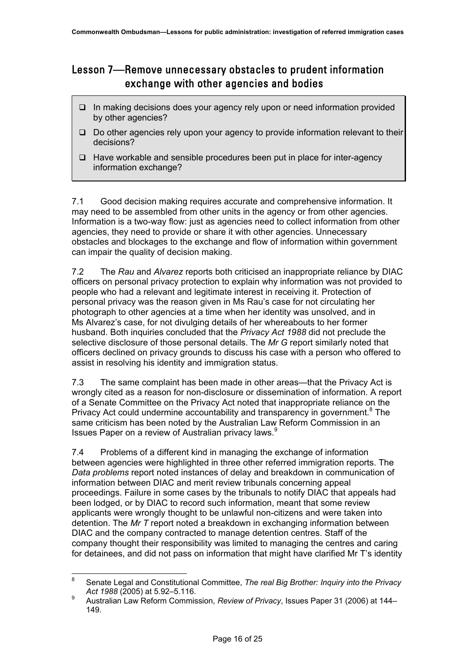### <span id="page-18-0"></span>Lesson 7—Remove unnecessary obstacles to prudent information exchange with other agencies and bodies

- $\Box$  In making decisions does your agency rely upon or need information provided by other agencies?
- $\Box$  Do other agencies rely upon your agency to provide information relevant to their decisions?
- $\Box$  Have workable and sensible procedures been put in place for inter-agency information exchange?

7.1 Good decision making requires accurate and comprehensive information. It may need to be assembled from other units in the agency or from other agencies. Information is a two-way flow: just as agencies need to collect information from other agencies, they need to provide or share it with other agencies. Unnecessary obstacles and blockages to the exchange and flow of information within government can impair the quality of decision making.

7.2 The *Rau* and *Alvarez* reports both criticised an inappropriate reliance by DIAC officers on personal privacy protection to explain why information was not provided to people who had a relevant and legitimate interest in receiving it. Protection of personal privacy was the reason given in Ms Rau's case for not circulating her photograph to other agencies at a time when her identity was unsolved, and in Ms Alvarez's case, for not divulging details of her whereabouts to her former husband. Both inquiries concluded that the *Privacy Act 1988* did not preclude the selective disclosure of those personal details. The *Mr G* report similarly noted that officers declined on privacy grounds to discuss his case with a person who offered to assist in resolving his identity and immigration status.

7.3 The same complaint has been made in other areas—that the Privacy Act is wrongly cited as a reason for non-disclosure or dissemination of information. A report of a Senate Committee on the Privacy Act noted that inappropriate reliance on the PrivacyAct could undermine accountability and transparency in government.<sup>8</sup> The same criticism has been noted by the Australian Law Reform Commission in an Issues Paper on a review of Australian privacy laws.<sup>[9](#page-18-2)</sup>

7.4 Problems of a different kind in managing the exchange of information between agencies were highlighted in three other referred immigration reports. The *Data problems* report noted instances of delay and breakdown in communication of information between DIAC and merit review tribunals concerning appeal proceedings. Failure in some cases by the tribunals to notify DIAC that appeals had been lodged, or by DIAC to record such information, meant that some review applicants were wrongly thought to be unlawful non-citizens and were taken into detention. The *Mr T* report noted a breakdown in exchanging information between DIAC and the company contracted to manage detention centres. Staff of the company thought their responsibility was limited to managing the centres and caring for detainees, and did not pass on information that might have clarified Mr T's identity

<span id="page-18-1"></span> <sup>8</sup> Senate Legal and Constitutional Committee, *The real Big Brother: Inquiry into the Privacy Act 1988* (2005) at 5.92–5.116.

<span id="page-18-2"></span><sup>9</sup> Australian Law Reform Commission, *Review of Privacy*, Issues Paper 31 (2006) at 144– 149.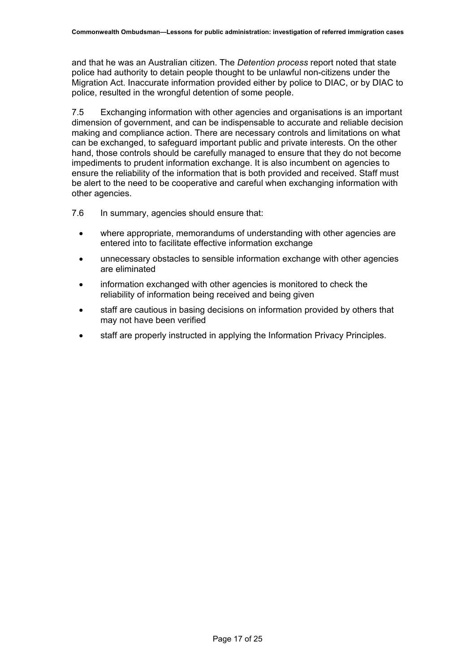and that he was an Australian citizen. The *Detention process* report noted that state police had authority to detain people thought to be unlawful non-citizens under the Migration Act. Inaccurate information provided either by police to DIAC, or by DIAC to police, resulted in the wrongful detention of some people.

7.5 Exchanging information with other agencies and organisations is an important dimension of government, and can be indispensable to accurate and reliable decision making and compliance action. There are necessary controls and limitations on what can be exchanged, to safeguard important public and private interests. On the other hand, those controls should be carefully managed to ensure that they do not become impediments to prudent information exchange. It is also incumbent on agencies to ensure the reliability of the information that is both provided and received. Staff must be alert to the need to be cooperative and careful when exchanging information with other agencies.

- 7.6 In summary, agencies should ensure that:
	- where appropriate, memorandums of understanding with other agencies are entered into to facilitate effective information exchange
	- unnecessary obstacles to sensible information exchange with other agencies are eliminated
	- information exchanged with other agencies is monitored to check the reliability of information being received and being given
	- staff are cautious in basing decisions on information provided by others that may not have been verified
	- staff are properly instructed in applying the Information Privacy Principles.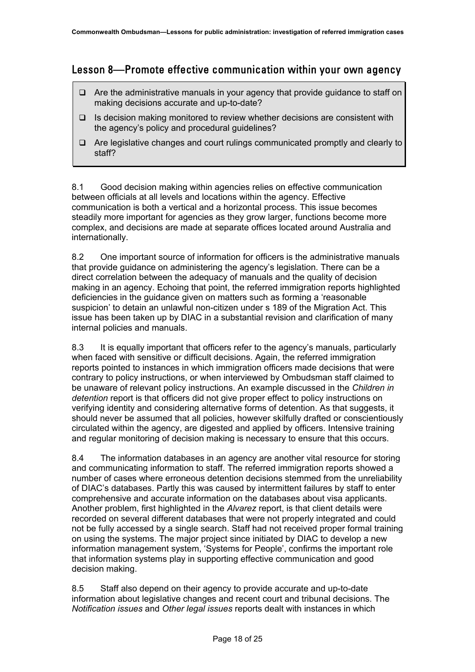### <span id="page-20-0"></span>Lesson 8—Promote effective communication within your own agency

- $\Box$  Are the administrative manuals in your agency that provide guidance to staff on making decisions accurate and up-to-date?
- $\Box$  Is decision making monitored to review whether decisions are consistent with the agency's policy and procedural guidelines?
- $\Box$  Are legislative changes and court rulings communicated promptly and clearly to staff?

8.1 Good decision making within agencies relies on effective communication between officials at all levels and locations within the agency. Effective communication is both a vertical and a horizontal process. This issue becomes steadily more important for agencies as they grow larger, functions become more complex, and decisions are made at separate offices located around Australia and internationally.

8.2 One important source of information for officers is the administrative manuals that provide guidance on administering the agency's legislation. There can be a direct correlation between the adequacy of manuals and the quality of decision making in an agency. Echoing that point, the referred immigration reports highlighted deficiencies in the guidance given on matters such as forming a 'reasonable suspicion' to detain an unlawful non-citizen under s 189 of the Migration Act. This issue has been taken up by DIAC in a substantial revision and clarification of many internal policies and manuals.

8.3 It is equally important that officers refer to the agency's manuals, particularly when faced with sensitive or difficult decisions. Again, the referred immigration reports pointed to instances in which immigration officers made decisions that were contrary to policy instructions, or when interviewed by Ombudsman staff claimed to be unaware of relevant policy instructions. An example discussed in the *Children in detention* report is that officers did not give proper effect to policy instructions on verifying identity and considering alternative forms of detention. As that suggests, it should never be assumed that all policies, however skilfully drafted or conscientiously circulated within the agency, are digested and applied by officers. Intensive training and regular monitoring of decision making is necessary to ensure that this occurs.

8.4 The information databases in an agency are another vital resource for storing and communicating information to staff. The referred immigration reports showed a number of cases where erroneous detention decisions stemmed from the unreliability of DIAC's databases. Partly this was caused by intermittent failures by staff to enter comprehensive and accurate information on the databases about visa applicants. Another problem, first highlighted in the *Alvarez* report, is that client details were recorded on several different databases that were not properly integrated and could not be fully accessed by a single search. Staff had not received proper formal training on using the systems. The major project since initiated by DIAC to develop a new information management system, 'Systems for People', confirms the important role that information systems play in supporting effective communication and good decision making.

8.5 Staff also depend on their agency to provide accurate and up-to-date information about legislative changes and recent court and tribunal decisions. The *Notification issues* and *Other legal issues* reports dealt with instances in which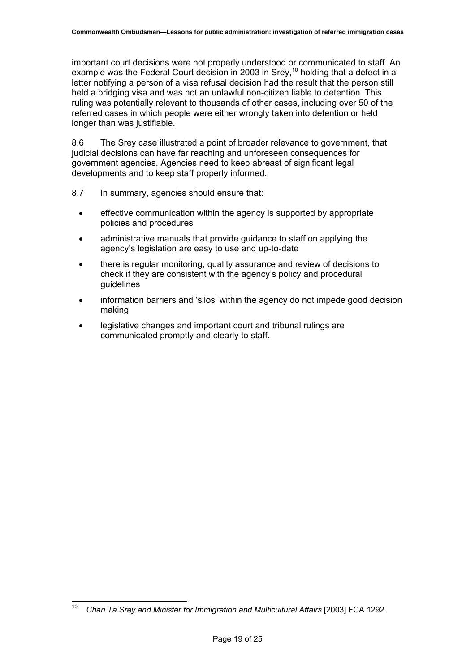important court decisions were not properly understood or communicated to staff. An example was the Federal Court decision in 2003 in Srey,<sup>10</sup> holding that a defect in a letter notifying a person of a visa refusal decision had the result that the person still held a bridging visa and was not an unlawful non-citizen liable to detention. This ruling was potentially relevant to thousands of other cases, including over 50 of the referred cases in which people were either wrongly taken into detention or held longer than was justifiable.

8.6 The Srey case illustrated a point of broader relevance to government, that judicial decisions can have far reaching and unforeseen consequences for government agencies. Agencies need to keep abreast of significant legal developments and to keep staff properly informed.

- 8.7 In summary, agencies should ensure that:
	- effective communication within the agency is supported by appropriate policies and procedures
	- administrative manuals that provide guidance to staff on applying the agency's legislation are easy to use and up-to-date
	- there is regular monitoring, quality assurance and review of decisions to check if they are consistent with the agency's policy and procedural guidelines
	- information barriers and 'silos' within the agency do not impede good decision making
	- legislative changes and important court and tribunal rulings are communicated promptly and clearly to staff.

<span id="page-21-0"></span><sup>&</sup>lt;sup>10</sup> Chan Ta Srey and Minister for Immigration and Multicultural Affairs [2003] FCA 1292.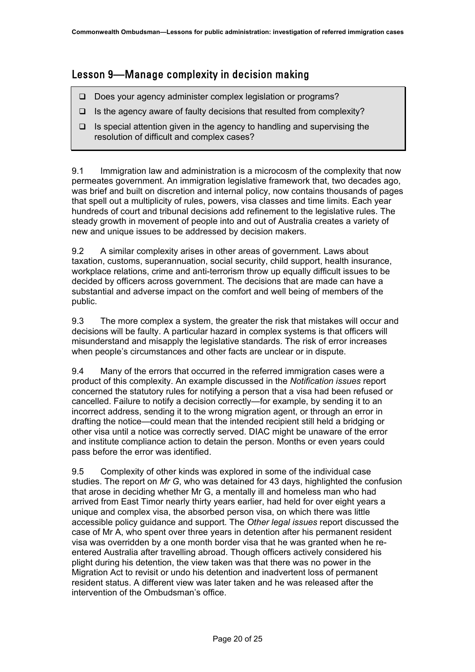### <span id="page-22-0"></span>Lesson 9—Manage complexity in decision making

- Does your agency administer complex legislation or programs?
- $\Box$  Is the agency aware of faulty decisions that resulted from complexity?
- $\Box$  Is special attention given in the agency to handling and supervising the resolution of difficult and complex cases?

9.1 Immigration law and administration is a microcosm of the complexity that now permeates government. An immigration legislative framework that, two decades ago, was brief and built on discretion and internal policy, now contains thousands of pages that spell out a multiplicity of rules, powers, visa classes and time limits. Each year hundreds of court and tribunal decisions add refinement to the legislative rules. The steady growth in movement of people into and out of Australia creates a variety of new and unique issues to be addressed by decision makers.

9.2 A similar complexity arises in other areas of government. Laws about taxation, customs, superannuation, social security, child support, health insurance, workplace relations, crime and anti-terrorism throw up equally difficult issues to be decided by officers across government. The decisions that are made can have a substantial and adverse impact on the comfort and well being of members of the public.

9.3 The more complex a system, the greater the risk that mistakes will occur and decisions will be faulty. A particular hazard in complex systems is that officers will misunderstand and misapply the legislative standards. The risk of error increases when people's circumstances and other facts are unclear or in dispute.

9.4 Many of the errors that occurred in the referred immigration cases were a product of this complexity. An example discussed in the *Notification issues* report concerned the statutory rules for notifying a person that a visa had been refused or cancelled. Failure to notify a decision correctly—for example, by sending it to an incorrect address, sending it to the wrong migration agent, or through an error in drafting the notice—could mean that the intended recipient still held a bridging or other visa until a notice was correctly served. DIAC might be unaware of the error and institute compliance action to detain the person. Months or even years could pass before the error was identified.

9.5 Complexity of other kinds was explored in some of the individual case studies. The report on *Mr G*, who was detained for 43 days, highlighted the confusion that arose in deciding whether Mr G, a mentally ill and homeless man who had arrived from East Timor nearly thirty years earlier, had held for over eight years a unique and complex visa, the absorbed person visa, on which there was little accessible policy guidance and support. The *Other legal issues* report discussed the case of Mr A, who spent over three years in detention after his permanent resident visa was overridden by a one month border visa that he was granted when he reentered Australia after travelling abroad. Though officers actively considered his plight during his detention, the view taken was that there was no power in the Migration Act to revisit or undo his detention and inadvertent loss of permanent resident status. A different view was later taken and he was released after the intervention of the Ombudsman's office.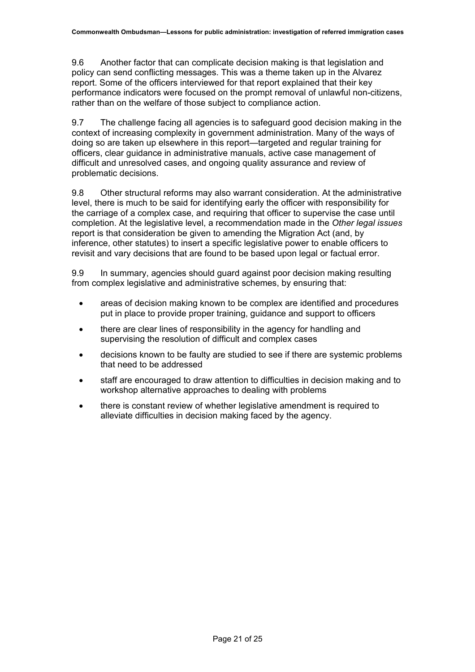9.6 Another factor that can complicate decision making is that legislation and policy can send conflicting messages. This was a theme taken up in the Alvarez report. Some of the officers interviewed for that report explained that their key performance indicators were focused on the prompt removal of unlawful non-citizens, rather than on the welfare of those subject to compliance action.

9.7 The challenge facing all agencies is to safeguard good decision making in the context of increasing complexity in government administration. Many of the ways of doing so are taken up elsewhere in this report—targeted and regular training for officers, clear guidance in administrative manuals, active case management of difficult and unresolved cases, and ongoing quality assurance and review of problematic decisions.

9.8 Other structural reforms may also warrant consideration. At the administrative level, there is much to be said for identifying early the officer with responsibility for the carriage of a complex case, and requiring that officer to supervise the case until completion. At the legislative level, a recommendation made in the *Other legal issues* report is that consideration be given to amending the Migration Act (and, by inference, other statutes) to insert a specific legislative power to enable officers to revisit and vary decisions that are found to be based upon legal or factual error.

9.9 In summary, agencies should guard against poor decision making resulting from complex legislative and administrative schemes, by ensuring that:

- areas of decision making known to be complex are identified and procedures put in place to provide proper training, guidance and support to officers
- there are clear lines of responsibility in the agency for handling and supervising the resolution of difficult and complex cases
- decisions known to be faulty are studied to see if there are systemic problems that need to be addressed
- staff are encouraged to draw attention to difficulties in decision making and to workshop alternative approaches to dealing with problems
- there is constant review of whether legislative amendment is required to alleviate difficulties in decision making faced by the agency.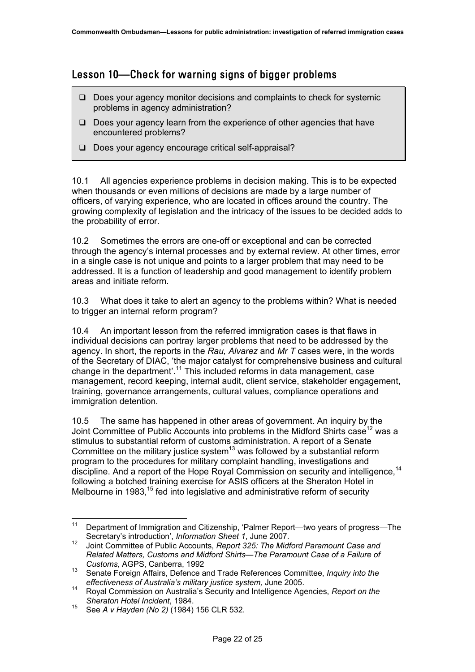#### <span id="page-24-0"></span>Lesson 10—Check for warning signs of bigger problems

- $\Box$  Does your agency monitor decisions and complaints to check for systemic problems in agency administration?
- $\Box$  Does your agency learn from the experience of other agencies that have encountered problems?
- Does your agency encourage critical self-appraisal?

10.1 All agencies experience problems in decision making. This is to be expected when thousands or even millions of decisions are made by a large number of officers, of varying experience, who are located in offices around the country. The growing complexity of legislation and the intricacy of the issues to be decided adds to the probability of error.

10.2 Sometimes the errors are one-off or exceptional and can be corrected through the agency's internal processes and by external review. At other times, error in a single case is not unique and points to a larger problem that may need to be addressed. It is a function of leadership and good management to identify problem areas and initiate reform.

10.3 What does it take to alert an agency to the problems within? What is needed to trigger an internal reform program?

10.4 An important lesson from the referred immigration cases is that flaws in individual decisions can portray larger problems that need to be addressed by the agency. In short, the reports in the *Rau, Alvarez* and *Mr T* cases were, in the words of the Secretary of DIAC, 'the major catalyst for comprehensive business and cultural change in the department'.[11](#page-24-1) This included reforms in data management, case management, record keeping, internal audit, client service, stakeholder engagement, training, governance arrangements, cultural values, compliance operations and immigration detention.

10.5 The same has happened in other areas of government. An inquiry by the Joint Committee of Public Accounts into problems in the Midford Shirts case<sup>12</sup> was a stimulus to substantial reform of customs administration. A report of a Senate Committee on the military justice system<sup>13</sup> was followed by a substantial reform program to the procedures for military complaint handling, investigations and discipline. And a report of the Hope Royal Commission on security and intelligence, <sup>[14](#page-24-4)</sup> following a botched training exercise for ASIS officers at the Sheraton Hotel in Melbourne in 1983,  $15$  fed into legislative and administrative reform of security

<span id="page-24-1"></span><sup>&</sup>lt;sup>11</sup> Department of Immigration and Citizenship, 'Palmer Report—two years of progress—The Secretary's introduction', *Information Sheet 1*, June 2007.

<span id="page-24-2"></span><sup>12</sup> Joint Committee of Public Accounts, *Report 325: The Midford Paramount Case and Related Matters, Customs and Midford Shirts—The Paramount Case of a Failure of Customs,* AGPS, Canberra, 1992

<span id="page-24-3"></span><sup>13</sup> Senate Foreign Affairs, Defence and Trade References Committee, *Inquiry into the effectiveness of Australia's military justice system,* June 2005.

<span id="page-24-4"></span><sup>14</sup> Royal Commission on Australia's Security and Intelligence Agencies, *Report on the Sheraton Hotel Incident*, 1984.

<span id="page-24-5"></span><sup>15</sup> See *A v Hayden (No 2)* (1984) 156 CLR 532.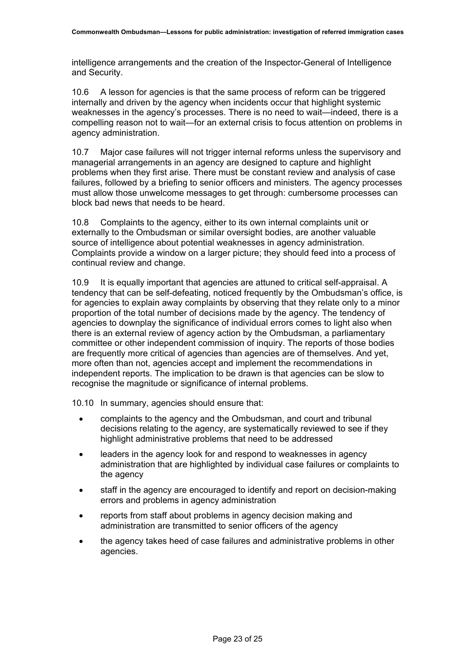intelligence arrangements and the creation of the Inspector-General of Intelligence and Security.

10.6 A lesson for agencies is that the same process of reform can be triggered internally and driven by the agency when incidents occur that highlight systemic weaknesses in the agency's processes. There is no need to wait—indeed, there is a compelling reason not to wait—for an external crisis to focus attention on problems in agency administration.

10.7 Major case failures will not trigger internal reforms unless the supervisory and managerial arrangements in an agency are designed to capture and highlight problems when they first arise. There must be constant review and analysis of case failures, followed by a briefing to senior officers and ministers. The agency processes must allow those unwelcome messages to get through: cumbersome processes can block bad news that needs to be heard.

10.8 Complaints to the agency, either to its own internal complaints unit or externally to the Ombudsman or similar oversight bodies, are another valuable source of intelligence about potential weaknesses in agency administration. Complaints provide a window on a larger picture; they should feed into a process of continual review and change.

10.9 It is equally important that agencies are attuned to critical self-appraisal. A tendency that can be self-defeating, noticed frequently by the Ombudsman's office, is for agencies to explain away complaints by observing that they relate only to a minor proportion of the total number of decisions made by the agency. The tendency of agencies to downplay the significance of individual errors comes to light also when there is an external review of agency action by the Ombudsman, a parliamentary committee or other independent commission of inquiry. The reports of those bodies are frequently more critical of agencies than agencies are of themselves. And yet, more often than not, agencies accept and implement the recommendations in independent reports. The implication to be drawn is that agencies can be slow to recognise the magnitude or significance of internal problems.

10.10 In summary, agencies should ensure that:

- complaints to the agency and the Ombudsman, and court and tribunal decisions relating to the agency, are systematically reviewed to see if they highlight administrative problems that need to be addressed
- leaders in the agency look for and respond to weaknesses in agency administration that are highlighted by individual case failures or complaints to the agency
- staff in the agency are encouraged to identify and report on decision-making errors and problems in agency administration
- reports from staff about problems in agency decision making and administration are transmitted to senior officers of the agency
- the agency takes heed of case failures and administrative problems in other agencies.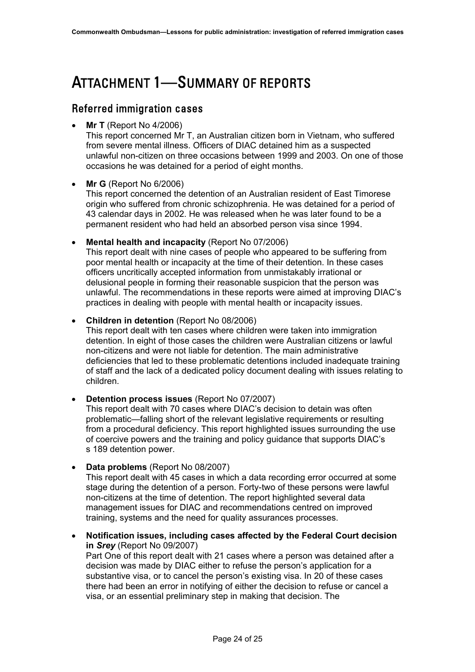## <span id="page-26-0"></span>ATTACHMENT 1—SUMMARY OF REPORTS

#### Referred immigration cases

• **Mr T** (Report No 4/2006)

This report concerned Mr T, an Australian citizen born in Vietnam, who suffered from severe mental illness. Officers of DIAC detained him as a suspected unlawful non-citizen on three occasions between 1999 and 2003. On one of those occasions he was detained for a period of eight months.

#### • **Mr G** (Report No 6/2006)

This report concerned the detention of an Australian resident of East Timorese origin who suffered from chronic schizophrenia. He was detained for a period of 43 calendar days in 2002. He was released when he was later found to be a permanent resident who had held an absorbed person visa since 1994.

• **Mental health and incapacity** (Report No 07/2006) This report dealt with nine cases of people who appeared to be suffering from poor mental health or incapacity at the time of their detention. In these cases officers uncritically accepted information from unmistakably irrational or delusional people in forming their reasonable suspicion that the person was unlawful. The recommendations in these reports were aimed at improving DIAC's practices in dealing with people with mental health or incapacity issues.

• **Children in detention** (Report No 08/2006) This report dealt with ten cases where children were taken into immigration detention. In eight of those cases the children were Australian citizens or lawful non-citizens and were not liable for detention. The main administrative deficiencies that led to these problematic detentions included inadequate training of staff and the lack of a dedicated policy document dealing with issues relating to children.

• **Detention process issues** (Report No 07/2007)

This report dealt with 70 cases where DIAC's decision to detain was often problematic—falling short of the relevant legislative requirements or resulting from a procedural deficiency. This report highlighted issues surrounding the use of coercive powers and the training and policy guidance that supports DIAC's s 189 detention power.

• **Data problems** (Report No 08/2007)

This report dealt with 45 cases in which a data recording error occurred at some stage during the detention of a person. Forty-two of these persons were lawful non-citizens at the time of detention. The report highlighted several data management issues for DIAC and recommendations centred on improved training, systems and the need for quality assurances processes.

• **Notification issues, including cases affected by the Federal Court decision in** *Srey* (Report No 09/2007)

Part One of this report dealt with 21 cases where a person was detained after a decision was made by DIAC either to refuse the person's application for a substantive visa, or to cancel the person's existing visa. In 20 of these cases there had been an error in notifying of either the decision to refuse or cancel a visa, or an essential preliminary step in making that decision. The